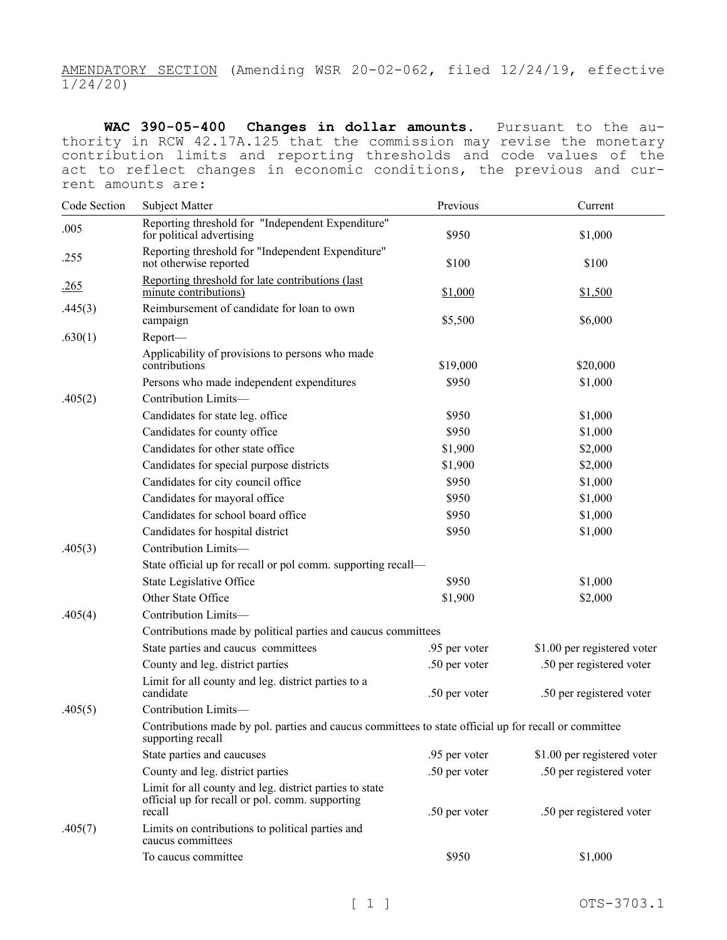AMENDATORY SECTION (Amending WSR 20-02-062, filed 12/24/19, effective 1/24/20)

**WAC 390-05-400 Changes in dollar amounts.** Pursuant to the authority in RCW 42.17A.125 that the commission may revise the monetary contribution limits and reporting thresholds and code values of the act to reflect changes in economic conditions, the previous and current amounts are:

| Code Section | Subject Matter                                                                                                             | Previous      | Current                     |  |
|--------------|----------------------------------------------------------------------------------------------------------------------------|---------------|-----------------------------|--|
| .005         | Reporting threshold for "Independent Expenditure"<br>for political advertising                                             | \$950         | \$1,000                     |  |
| .255         | Reporting threshold for "Independent Expenditure"<br>not otherwise reported                                                | \$100         | \$100                       |  |
| .265         | Reporting threshold for late contributions (last<br>minute contributions)                                                  | \$1,000       | \$1,500                     |  |
| .445(3)      | Reimbursement of candidate for loan to own<br>campaign                                                                     | \$5,500       | \$6,000                     |  |
| .630(1)      | Report-                                                                                                                    |               |                             |  |
|              | Applicability of provisions to persons who made<br>contributions                                                           | \$19,000      | \$20,000                    |  |
|              | Persons who made independent expenditures                                                                                  | \$950         | \$1,000                     |  |
| .405(2)      | Contribution Limits-                                                                                                       |               |                             |  |
|              | Candidates for state leg. office                                                                                           | \$950         | \$1,000                     |  |
|              | Candidates for county office                                                                                               | \$950         | \$1,000                     |  |
|              | Candidates for other state office                                                                                          | \$1,900       | \$2,000                     |  |
|              | Candidates for special purpose districts                                                                                   | \$1,900       | \$2,000                     |  |
|              | Candidates for city council office                                                                                         | \$950         | \$1,000                     |  |
|              | Candidates for mayoral office                                                                                              | \$950         | \$1,000                     |  |
|              | Candidates for school board office                                                                                         | \$950         | \$1,000                     |  |
|              | Candidates for hospital district                                                                                           | \$950         | \$1,000                     |  |
| .405(3)      | Contribution Limits-                                                                                                       |               |                             |  |
|              | State official up for recall or pol comm. supporting recall-                                                               |               |                             |  |
|              | State Legislative Office                                                                                                   | \$950         | \$1,000                     |  |
|              | Other State Office                                                                                                         | \$1,900       | \$2,000                     |  |
| .405(4)      | Contribution Limits-                                                                                                       |               |                             |  |
|              | Contributions made by political parties and caucus committees                                                              |               |                             |  |
|              | State parties and caucus committees                                                                                        | .95 per voter | \$1.00 per registered voter |  |
|              | County and leg. district parties                                                                                           | .50 per voter | .50 per registered voter    |  |
|              | Limit for all county and leg. district parties to a<br>candidate                                                           | .50 per voter | .50 per registered voter    |  |
| .405(5)      | Contribution Limits-                                                                                                       |               |                             |  |
|              | Contributions made by pol. parties and caucus committees to state official up for recall or committee<br>supporting recall |               |                             |  |
|              | State parties and caucuses                                                                                                 | .95 per voter | \$1.00 per registered voter |  |
|              | County and leg. district parties                                                                                           | .50 per voter | .50 per registered voter    |  |
|              | Limit for all county and leg. district parties to state<br>official up for recall or pol. comm. supporting<br>recall       | .50 per voter | .50 per registered voter    |  |
| .405(7)      | Limits on contributions to political parties and<br>caucus committees                                                      |               |                             |  |
|              | To caucus committee                                                                                                        | \$950         | \$1,000                     |  |